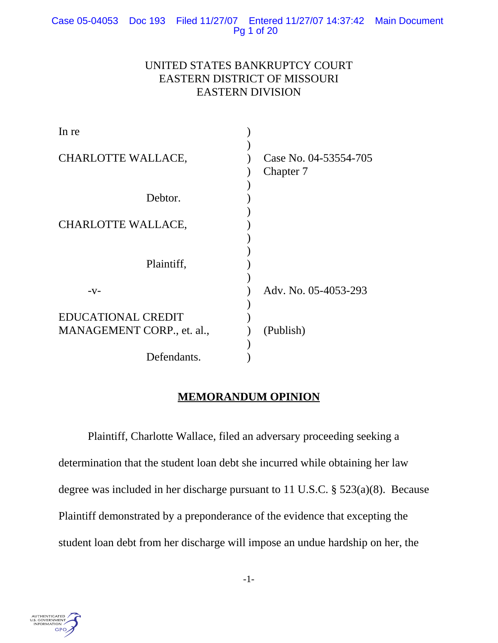# UNITED STATES BANKRUPTCY COURT EASTERN DISTRICT OF MISSOURI EASTERN DIVISION

| In re                      |                                    |
|----------------------------|------------------------------------|
| <b>CHARLOTTE WALLACE,</b>  | Case No. 04-53554-705<br>Chapter 7 |
| Debtor.                    |                                    |
| <b>CHARLOTTE WALLACE,</b>  |                                    |
| Plaintiff,                 |                                    |
| $-V-$                      | Adv. No. 05-4053-293               |
| <b>EDUCATIONAL CREDIT</b>  |                                    |
| MANAGEMENT CORP., et. al., | (Publish)                          |
| Defendants.                |                                    |

# **MEMORANDUM OPINION**

Plaintiff, Charlotte Wallace, filed an adversary proceeding seeking a determination that the student loan debt she incurred while obtaining her law degree was included in her discharge pursuant to 11 U.S.C. § 523(a)(8). Because Plaintiff demonstrated by a preponderance of the evidence that excepting the student loan debt from her discharge will impose an undue hardship on her, the

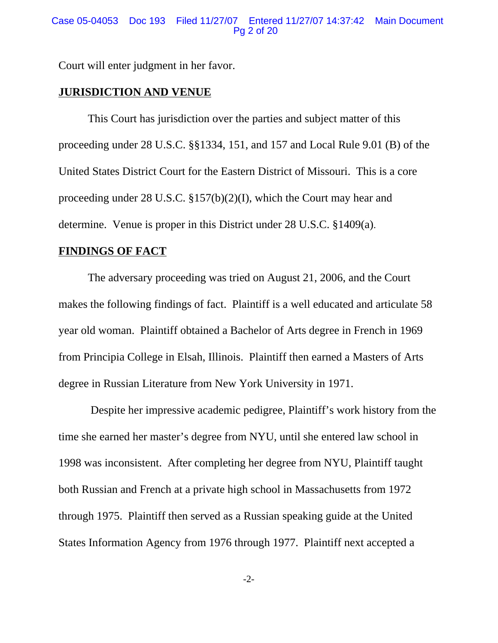Court will enter judgment in her favor.

## **JURISDICTION AND VENUE**

This Court has jurisdiction over the parties and subject matter of this proceeding under 28 U.S.C. §§1334, 151, and 157 and Local Rule 9.01 (B) of the United States District Court for the Eastern District of Missouri. This is a core proceeding under 28 U.S.C. §157(b)(2)(I), which the Court may hear and determine. Venue is proper in this District under 28 U.S.C. §1409(a).

## **FINDINGS OF FACT**

The adversary proceeding was tried on August 21, 2006, and the Court makes the following findings of fact. Plaintiff is a well educated and articulate 58 year old woman. Plaintiff obtained a Bachelor of Arts degree in French in 1969 from Principia College in Elsah, Illinois. Plaintiff then earned a Masters of Arts degree in Russian Literature from New York University in 1971.

 Despite her impressive academic pedigree, Plaintiff's work history from the time she earned her master's degree from NYU, until she entered law school in 1998 was inconsistent. After completing her degree from NYU, Plaintiff taught both Russian and French at a private high school in Massachusetts from 1972 through 1975. Plaintiff then served as a Russian speaking guide at the United States Information Agency from 1976 through 1977. Plaintiff next accepted a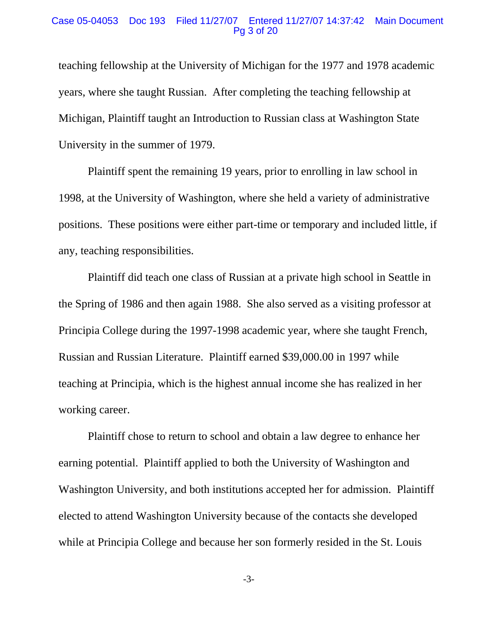### Case 05-04053 Doc 193 Filed 11/27/07 Entered 11/27/07 14:37:42 Main Document Pg 3 of 20

teaching fellowship at the University of Michigan for the 1977 and 1978 academic years, where she taught Russian. After completing the teaching fellowship at Michigan, Plaintiff taught an Introduction to Russian class at Washington State University in the summer of 1979.

Plaintiff spent the remaining 19 years, prior to enrolling in law school in 1998, at the University of Washington, where she held a variety of administrative positions. These positions were either part-time or temporary and included little, if any, teaching responsibilities.

Plaintiff did teach one class of Russian at a private high school in Seattle in the Spring of 1986 and then again 1988. She also served as a visiting professor at Principia College during the 1997-1998 academic year, where she taught French, Russian and Russian Literature. Plaintiff earned \$39,000.00 in 1997 while teaching at Principia, which is the highest annual income she has realized in her working career.

Plaintiff chose to return to school and obtain a law degree to enhance her earning potential. Plaintiff applied to both the University of Washington and Washington University, and both institutions accepted her for admission. Plaintiff elected to attend Washington University because of the contacts she developed while at Principia College and because her son formerly resided in the St. Louis

-3-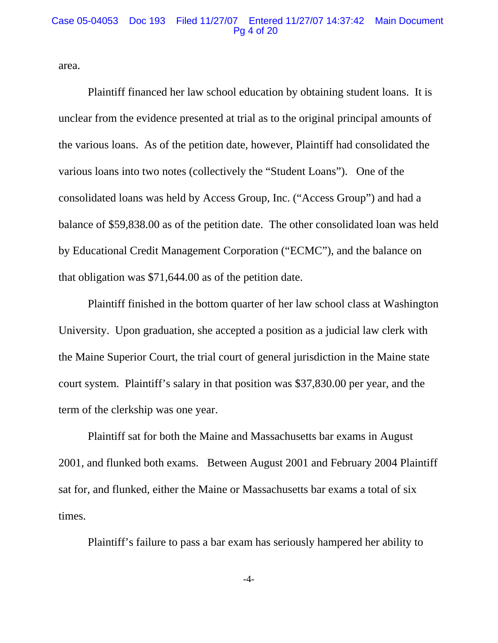#### Case 05-04053 Doc 193 Filed 11/27/07 Entered 11/27/07 14:37:42 Main Document Pg 4 of 20

area.

Plaintiff financed her law school education by obtaining student loans. It is unclear from the evidence presented at trial as to the original principal amounts of the various loans. As of the petition date, however, Plaintiff had consolidated the various loans into two notes (collectively the "Student Loans"). One of the consolidated loans was held by Access Group, Inc. ("Access Group") and had a balance of \$59,838.00 as of the petition date. The other consolidated loan was held by Educational Credit Management Corporation ("ECMC"), and the balance on that obligation was \$71,644.00 as of the petition date.

Plaintiff finished in the bottom quarter of her law school class at Washington University. Upon graduation, she accepted a position as a judicial law clerk with the Maine Superior Court, the trial court of general jurisdiction in the Maine state court system. Plaintiff's salary in that position was \$37,830.00 per year, and the term of the clerkship was one year.

Plaintiff sat for both the Maine and Massachusetts bar exams in August 2001, and flunked both exams. Between August 2001 and February 2004 Plaintiff sat for, and flunked, either the Maine or Massachusetts bar exams a total of six times.

Plaintiff's failure to pass a bar exam has seriously hampered her ability to

-4-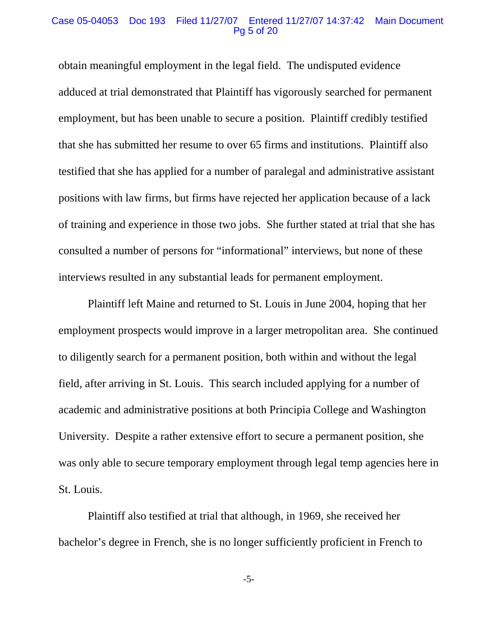## Case 05-04053 Doc 193 Filed 11/27/07 Entered 11/27/07 14:37:42 Main Document Pg 5 of 20

obtain meaningful employment in the legal field. The undisputed evidence adduced at trial demonstrated that Plaintiff has vigorously searched for permanent employment, but has been unable to secure a position. Plaintiff credibly testified that she has submitted her resume to over 65 firms and institutions. Plaintiff also testified that she has applied for a number of paralegal and administrative assistant positions with law firms, but firms have rejected her application because of a lack of training and experience in those two jobs. She further stated at trial that she has consulted a number of persons for "informational" interviews, but none of these interviews resulted in any substantial leads for permanent employment.

Plaintiff left Maine and returned to St. Louis in June 2004, hoping that her employment prospects would improve in a larger metropolitan area. She continued to diligently search for a permanent position, both within and without the legal field, after arriving in St. Louis. This search included applying for a number of academic and administrative positions at both Principia College and Washington University. Despite a rather extensive effort to secure a permanent position, she was only able to secure temporary employment through legal temp agencies here in St. Louis.

Plaintiff also testified at trial that although, in 1969, she received her bachelor's degree in French, she is no longer sufficiently proficient in French to

-5-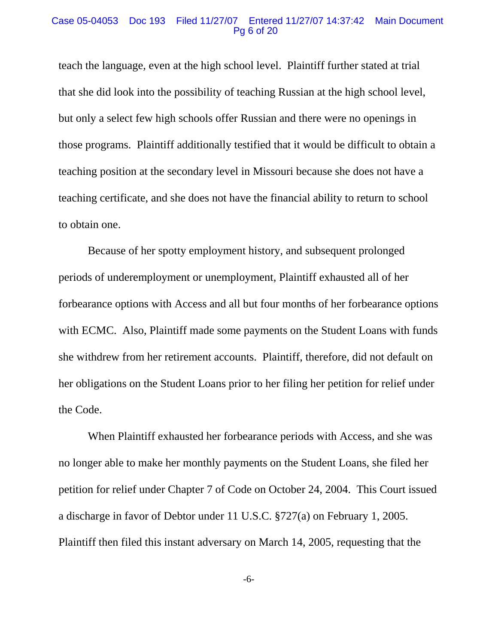### Case 05-04053 Doc 193 Filed 11/27/07 Entered 11/27/07 14:37:42 Main Document Pg 6 of 20

teach the language, even at the high school level. Plaintiff further stated at trial that she did look into the possibility of teaching Russian at the high school level, but only a select few high schools offer Russian and there were no openings in those programs. Plaintiff additionally testified that it would be difficult to obtain a teaching position at the secondary level in Missouri because she does not have a teaching certificate, and she does not have the financial ability to return to school to obtain one.

Because of her spotty employment history, and subsequent prolonged periods of underemployment or unemployment, Plaintiff exhausted all of her forbearance options with Access and all but four months of her forbearance options with ECMC. Also, Plaintiff made some payments on the Student Loans with funds she withdrew from her retirement accounts. Plaintiff, therefore, did not default on her obligations on the Student Loans prior to her filing her petition for relief under the Code.

When Plaintiff exhausted her forbearance periods with Access, and she was no longer able to make her monthly payments on the Student Loans, she filed her petition for relief under Chapter 7 of Code on October 24, 2004. This Court issued a discharge in favor of Debtor under 11 U.S.C. §727(a) on February 1, 2005. Plaintiff then filed this instant adversary on March 14, 2005, requesting that the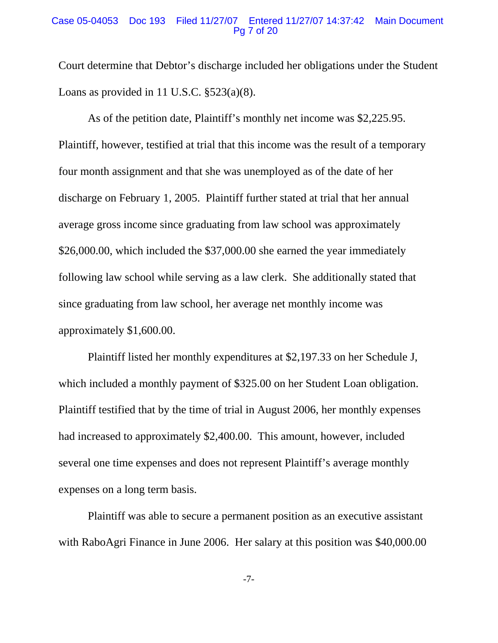### Case 05-04053 Doc 193 Filed 11/27/07 Entered 11/27/07 14:37:42 Main Document Pg 7 of 20

Court determine that Debtor's discharge included her obligations under the Student Loans as provided in 11 U.S.C.  $\S$ 523(a)(8).

As of the petition date, Plaintiff's monthly net income was \$2,225.95. Plaintiff, however, testified at trial that this income was the result of a temporary four month assignment and that she was unemployed as of the date of her discharge on February 1, 2005. Plaintiff further stated at trial that her annual average gross income since graduating from law school was approximately \$26,000.00, which included the \$37,000.00 she earned the year immediately following law school while serving as a law clerk. She additionally stated that since graduating from law school, her average net monthly income was approximately \$1,600.00.

Plaintiff listed her monthly expenditures at \$2,197.33 on her Schedule J, which included a monthly payment of \$325.00 on her Student Loan obligation. Plaintiff testified that by the time of trial in August 2006, her monthly expenses had increased to approximately \$2,400.00. This amount, however, included several one time expenses and does not represent Plaintiff's average monthly expenses on a long term basis.

Plaintiff was able to secure a permanent position as an executive assistant with RaboAgri Finance in June 2006. Her salary at this position was \$40,000.00

-7-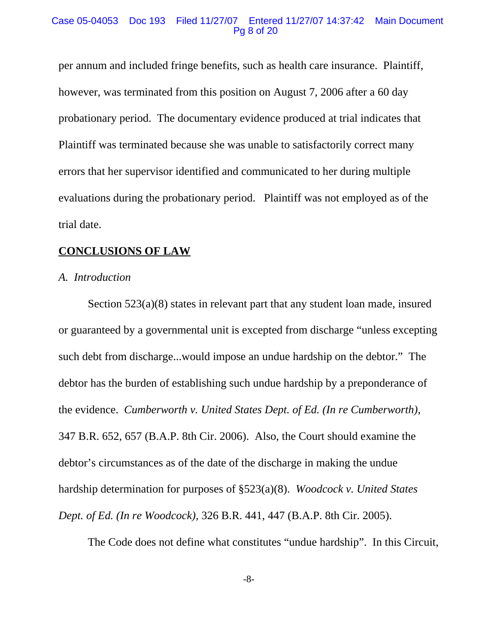### Case 05-04053 Doc 193 Filed 11/27/07 Entered 11/27/07 14:37:42 Main Document Pg 8 of 20

per annum and included fringe benefits, such as health care insurance. Plaintiff, however, was terminated from this position on August 7, 2006 after a 60 day probationary period. The documentary evidence produced at trial indicates that Plaintiff was terminated because she was unable to satisfactorily correct many errors that her supervisor identified and communicated to her during multiple evaluations during the probationary period. Plaintiff was not employed as of the trial date.

# **CONCLUSIONS OF LAW**

## *A. Introduction*

Section 523(a)(8) states in relevant part that any student loan made, insured or guaranteed by a governmental unit is excepted from discharge "unless excepting such debt from discharge...would impose an undue hardship on the debtor." The debtor has the burden of establishing such undue hardship by a preponderance of the evidence. *Cumberworth v. United States Dept. of Ed. (In re Cumberworth)*, 347 B.R. 652, 657 (B.A.P. 8th Cir. 2006). Also, the Court should examine the debtor's circumstances as of the date of the discharge in making the undue hardship determination for purposes of §523(a)(8). *Woodcock v. United States Dept. of Ed. (In re Woodcock)*, 326 B.R. 441, 447 (B.A.P. 8th Cir. 2005).

The Code does not define what constitutes "undue hardship". In this Circuit,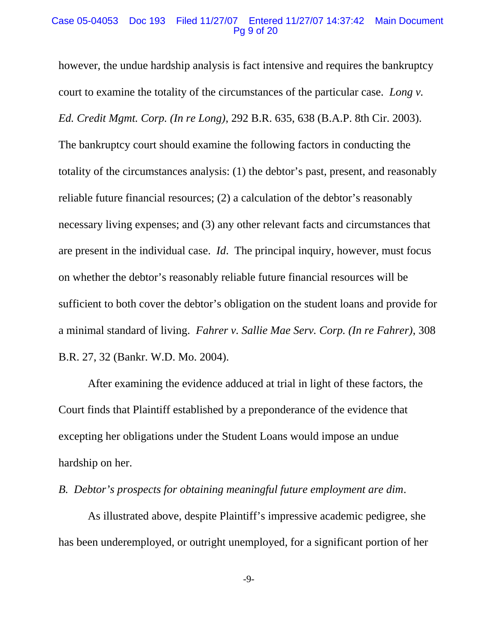### Case 05-04053 Doc 193 Filed 11/27/07 Entered 11/27/07 14:37:42 Main Document Pg 9 of 20

however, the undue hardship analysis is fact intensive and requires the bankruptcy court to examine the totality of the circumstances of the particular case. *Long v. Ed. Credit Mgmt. Corp. (In re Long)*, 292 B.R. 635, 638 (B.A.P. 8th Cir. 2003). The bankruptcy court should examine the following factors in conducting the totality of the circumstances analysis: (1) the debtor's past, present, and reasonably reliable future financial resources; (2) a calculation of the debtor's reasonably necessary living expenses; and (3) any other relevant facts and circumstances that are present in the individual case. *Id*. The principal inquiry, however, must focus on whether the debtor's reasonably reliable future financial resources will be sufficient to both cover the debtor's obligation on the student loans and provide for a minimal standard of living. *Fahrer v. Sallie Mae Serv. Corp. (In re Fahrer)*, 308 B.R. 27, 32 (Bankr. W.D. Mo. 2004).

After examining the evidence adduced at trial in light of these factors, the Court finds that Plaintiff established by a preponderance of the evidence that excepting her obligations under the Student Loans would impose an undue hardship on her.

# *B. Debtor's prospects for obtaining meaningful future employment are dim*.

As illustrated above, despite Plaintiff's impressive academic pedigree, she has been underemployed, or outright unemployed, for a significant portion of her

-9-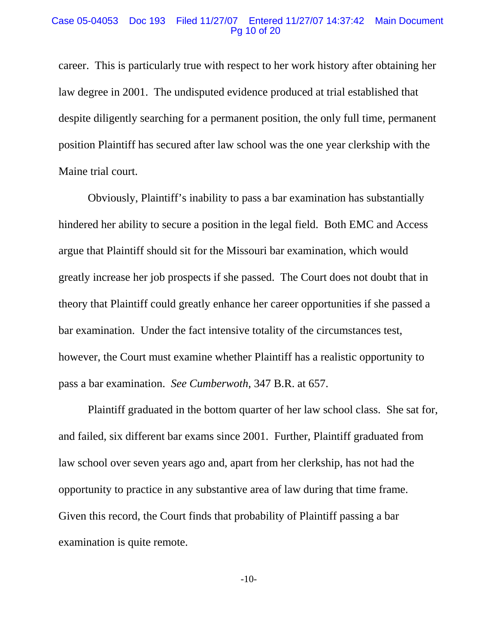## Case 05-04053 Doc 193 Filed 11/27/07 Entered 11/27/07 14:37:42 Main Document Pg 10 of 20

career. This is particularly true with respect to her work history after obtaining her law degree in 2001. The undisputed evidence produced at trial established that despite diligently searching for a permanent position, the only full time, permanent position Plaintiff has secured after law school was the one year clerkship with the Maine trial court.

Obviously, Plaintiff's inability to pass a bar examination has substantially hindered her ability to secure a position in the legal field. Both EMC and Access argue that Plaintiff should sit for the Missouri bar examination, which would greatly increase her job prospects if she passed. The Court does not doubt that in theory that Plaintiff could greatly enhance her career opportunities if she passed a bar examination. Under the fact intensive totality of the circumstances test, however, the Court must examine whether Plaintiff has a realistic opportunity to pass a bar examination. *See Cumberwoth*, 347 B.R. at 657.

Plaintiff graduated in the bottom quarter of her law school class. She sat for, and failed, six different bar exams since 2001. Further, Plaintiff graduated from law school over seven years ago and, apart from her clerkship, has not had the opportunity to practice in any substantive area of law during that time frame. Given this record, the Court finds that probability of Plaintiff passing a bar examination is quite remote.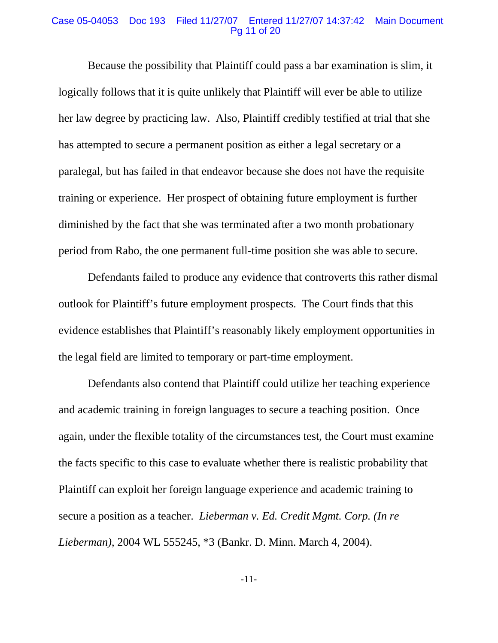## Case 05-04053 Doc 193 Filed 11/27/07 Entered 11/27/07 14:37:42 Main Document Pg 11 of 20

Because the possibility that Plaintiff could pass a bar examination is slim, it logically follows that it is quite unlikely that Plaintiff will ever be able to utilize her law degree by practicing law. Also, Plaintiff credibly testified at trial that she has attempted to secure a permanent position as either a legal secretary or a paralegal, but has failed in that endeavor because she does not have the requisite training or experience. Her prospect of obtaining future employment is further diminished by the fact that she was terminated after a two month probationary period from Rabo, the one permanent full-time position she was able to secure.

Defendants failed to produce any evidence that controverts this rather dismal outlook for Plaintiff's future employment prospects. The Court finds that this evidence establishes that Plaintiff's reasonably likely employment opportunities in the legal field are limited to temporary or part-time employment.

Defendants also contend that Plaintiff could utilize her teaching experience and academic training in foreign languages to secure a teaching position. Once again, under the flexible totality of the circumstances test, the Court must examine the facts specific to this case to evaluate whether there is realistic probability that Plaintiff can exploit her foreign language experience and academic training to secure a position as a teacher. *Lieberman v. Ed. Credit Mgmt. Corp. (In re Lieberman)*, 2004 WL 555245, \*3 (Bankr. D. Minn. March 4, 2004).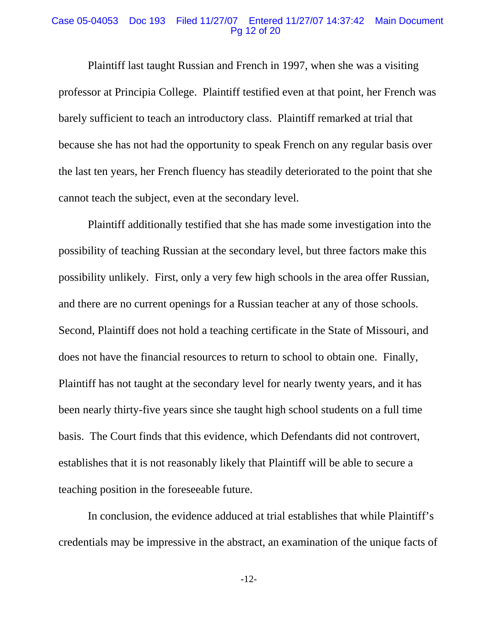## Case 05-04053 Doc 193 Filed 11/27/07 Entered 11/27/07 14:37:42 Main Document Pg 12 of 20

Plaintiff last taught Russian and French in 1997, when she was a visiting professor at Principia College. Plaintiff testified even at that point, her French was barely sufficient to teach an introductory class. Plaintiff remarked at trial that because she has not had the opportunity to speak French on any regular basis over the last ten years, her French fluency has steadily deteriorated to the point that she cannot teach the subject, even at the secondary level.

Plaintiff additionally testified that she has made some investigation into the possibility of teaching Russian at the secondary level, but three factors make this possibility unlikely. First, only a very few high schools in the area offer Russian, and there are no current openings for a Russian teacher at any of those schools. Second, Plaintiff does not hold a teaching certificate in the State of Missouri, and does not have the financial resources to return to school to obtain one. Finally, Plaintiff has not taught at the secondary level for nearly twenty years, and it has been nearly thirty-five years since she taught high school students on a full time basis. The Court finds that this evidence, which Defendants did not controvert, establishes that it is not reasonably likely that Plaintiff will be able to secure a teaching position in the foreseeable future.

In conclusion, the evidence adduced at trial establishes that while Plaintiff's credentials may be impressive in the abstract, an examination of the unique facts of

-12-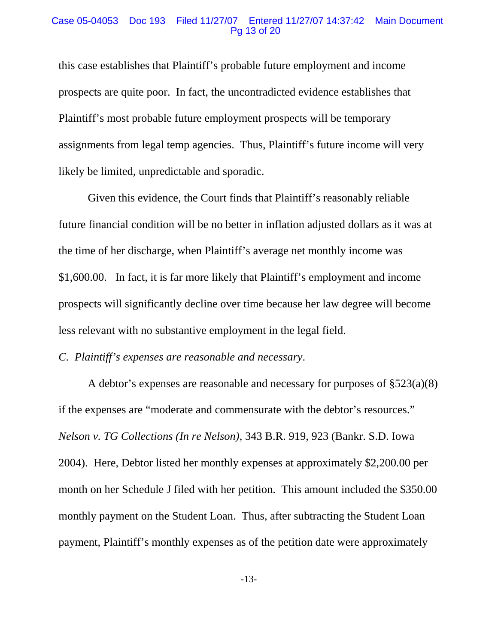## Case 05-04053 Doc 193 Filed 11/27/07 Entered 11/27/07 14:37:42 Main Document Pg 13 of 20

this case establishes that Plaintiff's probable future employment and income prospects are quite poor. In fact, the uncontradicted evidence establishes that Plaintiff's most probable future employment prospects will be temporary assignments from legal temp agencies. Thus, Plaintiff's future income will very likely be limited, unpredictable and sporadic.

Given this evidence, the Court finds that Plaintiff's reasonably reliable future financial condition will be no better in inflation adjusted dollars as it was at the time of her discharge, when Plaintiff's average net monthly income was \$1,600.00. In fact, it is far more likely that Plaintiff's employment and income prospects will significantly decline over time because her law degree will become less relevant with no substantive employment in the legal field.

*C. Plaintiff's expenses are reasonable and necessary*.

A debtor's expenses are reasonable and necessary for purposes of §523(a)(8) if the expenses are "moderate and commensurate with the debtor's resources." *Nelson v. TG Collections (In re Nelson)*, 343 B.R. 919, 923 (Bankr. S.D. Iowa 2004). Here, Debtor listed her monthly expenses at approximately \$2,200.00 per month on her Schedule J filed with her petition. This amount included the \$350.00 monthly payment on the Student Loan. Thus, after subtracting the Student Loan payment, Plaintiff's monthly expenses as of the petition date were approximately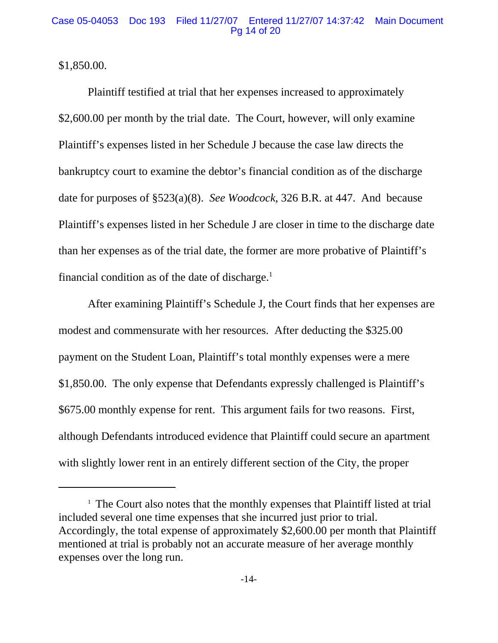\$1,850.00.

Plaintiff testified at trial that her expenses increased to approximately \$2,600.00 per month by the trial date. The Court, however, will only examine Plaintiff's expenses listed in her Schedule J because the case law directs the bankruptcy court to examine the debtor's financial condition as of the discharge date for purposes of §523(a)(8). *See Woodcock*, 326 B.R. at 447. And because Plaintiff's expenses listed in her Schedule J are closer in time to the discharge date than her expenses as of the trial date, the former are more probative of Plaintiff's financial condition as of the date of discharge. $<sup>1</sup>$ </sup>

After examining Plaintiff's Schedule J, the Court finds that her expenses are modest and commensurate with her resources. After deducting the \$325.00 payment on the Student Loan, Plaintiff's total monthly expenses were a mere \$1,850.00. The only expense that Defendants expressly challenged is Plaintiff's \$675.00 monthly expense for rent. This argument fails for two reasons. First, although Defendants introduced evidence that Plaintiff could secure an apartment with slightly lower rent in an entirely different section of the City, the proper

<sup>&</sup>lt;sup>1</sup> The Court also notes that the monthly expenses that Plaintiff listed at trial included several one time expenses that she incurred just prior to trial. Accordingly, the total expense of approximately \$2,600.00 per month that Plaintiff mentioned at trial is probably not an accurate measure of her average monthly expenses over the long run.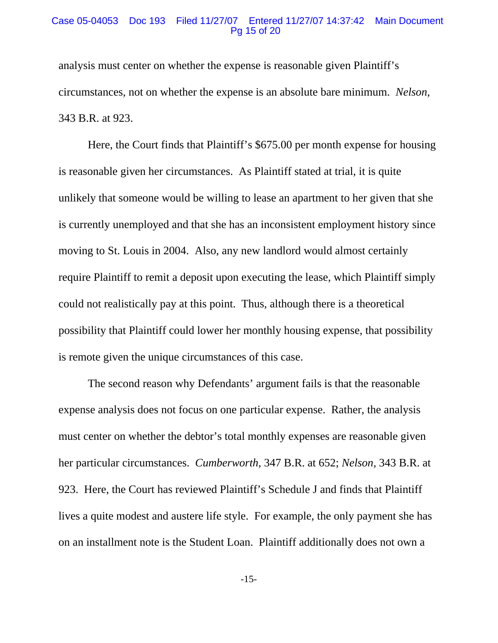## Case 05-04053 Doc 193 Filed 11/27/07 Entered 11/27/07 14:37:42 Main Document Pg 15 of 20

analysis must center on whether the expense is reasonable given Plaintiff's circumstances, not on whether the expense is an absolute bare minimum. *Nelson*, 343 B.R. at 923.

Here, the Court finds that Plaintiff's \$675.00 per month expense for housing is reasonable given her circumstances. As Plaintiff stated at trial, it is quite unlikely that someone would be willing to lease an apartment to her given that she is currently unemployed and that she has an inconsistent employment history since moving to St. Louis in 2004. Also, any new landlord would almost certainly require Plaintiff to remit a deposit upon executing the lease, which Plaintiff simply could not realistically pay at this point. Thus, although there is a theoretical possibility that Plaintiff could lower her monthly housing expense, that possibility is remote given the unique circumstances of this case.

The second reason why Defendants' argument fails is that the reasonable expense analysis does not focus on one particular expense. Rather, the analysis must center on whether the debtor's total monthly expenses are reasonable given her particular circumstances. *Cumberworth*, 347 B.R. at 652; *Nelson*, 343 B.R. at 923. Here, the Court has reviewed Plaintiff's Schedule J and finds that Plaintiff lives a quite modest and austere life style. For example, the only payment she has on an installment note is the Student Loan. Plaintiff additionally does not own a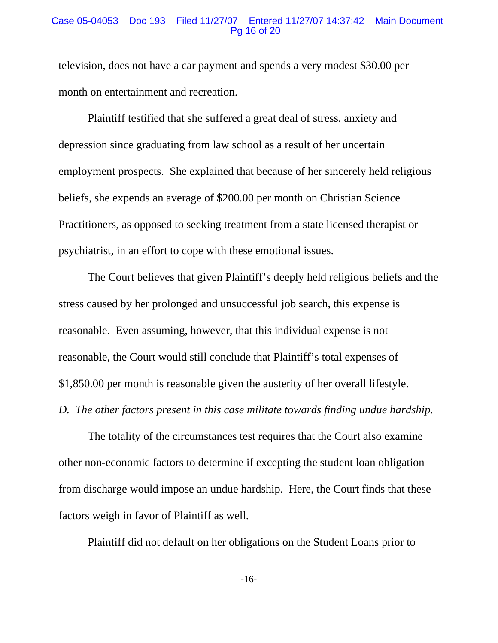### Case 05-04053 Doc 193 Filed 11/27/07 Entered 11/27/07 14:37:42 Main Document Pg 16 of 20

television, does not have a car payment and spends a very modest \$30.00 per month on entertainment and recreation.

Plaintiff testified that she suffered a great deal of stress, anxiety and depression since graduating from law school as a result of her uncertain employment prospects. She explained that because of her sincerely held religious beliefs, she expends an average of \$200.00 per month on Christian Science Practitioners, as opposed to seeking treatment from a state licensed therapist or psychiatrist, in an effort to cope with these emotional issues.

The Court believes that given Plaintiff's deeply held religious beliefs and the stress caused by her prolonged and unsuccessful job search, this expense is reasonable. Even assuming, however, that this individual expense is not reasonable, the Court would still conclude that Plaintiff's total expenses of \$1,850.00 per month is reasonable given the austerity of her overall lifestyle. *D. The other factors present in this case militate towards finding undue hardship.*

The totality of the circumstances test requires that the Court also examine other non-economic factors to determine if excepting the student loan obligation from discharge would impose an undue hardship. Here, the Court finds that these factors weigh in favor of Plaintiff as well.

Plaintiff did not default on her obligations on the Student Loans prior to

-16-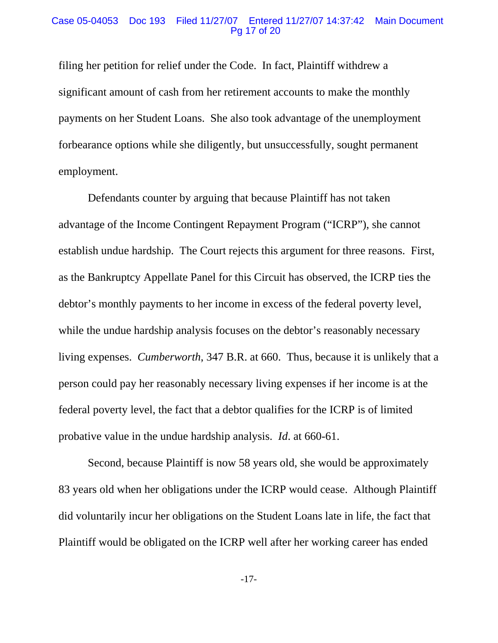### Case 05-04053 Doc 193 Filed 11/27/07 Entered 11/27/07 14:37:42 Main Document Pg 17 of 20

filing her petition for relief under the Code. In fact, Plaintiff withdrew a significant amount of cash from her retirement accounts to make the monthly payments on her Student Loans. She also took advantage of the unemployment forbearance options while she diligently, but unsuccessfully, sought permanent employment.

Defendants counter by arguing that because Plaintiff has not taken advantage of the Income Contingent Repayment Program ("ICRP"), she cannot establish undue hardship. The Court rejects this argument for three reasons. First, as the Bankruptcy Appellate Panel for this Circuit has observed, the ICRP ties the debtor's monthly payments to her income in excess of the federal poverty level, while the undue hardship analysis focuses on the debtor's reasonably necessary living expenses. *Cumberworth*, 347 B.R. at 660. Thus, because it is unlikely that a person could pay her reasonably necessary living expenses if her income is at the federal poverty level, the fact that a debtor qualifies for the ICRP is of limited probative value in the undue hardship analysis. *Id*. at 660-61.

Second, because Plaintiff is now 58 years old, she would be approximately 83 years old when her obligations under the ICRP would cease. Although Plaintiff did voluntarily incur her obligations on the Student Loans late in life, the fact that Plaintiff would be obligated on the ICRP well after her working career has ended

-17-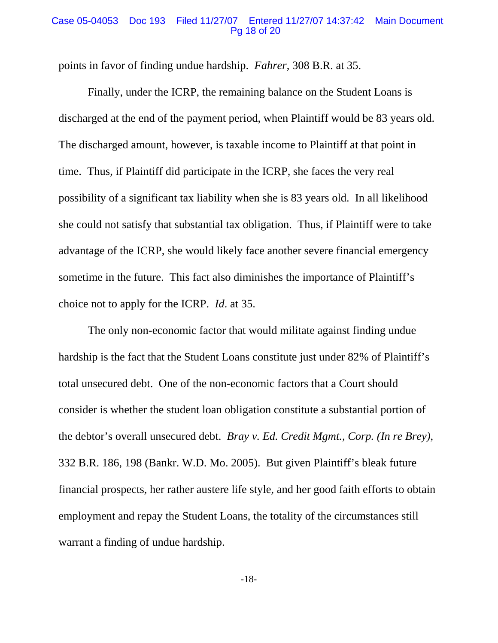### Case 05-04053 Doc 193 Filed 11/27/07 Entered 11/27/07 14:37:42 Main Document Pg 18 of 20

points in favor of finding undue hardship. *Fahrer*, 308 B.R. at 35.

Finally, under the ICRP, the remaining balance on the Student Loans is discharged at the end of the payment period, when Plaintiff would be 83 years old. The discharged amount, however, is taxable income to Plaintiff at that point in time. Thus, if Plaintiff did participate in the ICRP, she faces the very real possibility of a significant tax liability when she is 83 years old. In all likelihood she could not satisfy that substantial tax obligation. Thus, if Plaintiff were to take advantage of the ICRP, she would likely face another severe financial emergency sometime in the future. This fact also diminishes the importance of Plaintiff's choice not to apply for the ICRP. *Id*. at 35.

The only non-economic factor that would militate against finding undue hardship is the fact that the Student Loans constitute just under 82% of Plaintiff's total unsecured debt. One of the non-economic factors that a Court should consider is whether the student loan obligation constitute a substantial portion of the debtor's overall unsecured debt. *Bray v. Ed. Credit Mgmt., Corp. (In re Brey)*, 332 B.R. 186, 198 (Bankr. W.D. Mo. 2005). But given Plaintiff's bleak future financial prospects, her rather austere life style, and her good faith efforts to obtain employment and repay the Student Loans, the totality of the circumstances still warrant a finding of undue hardship.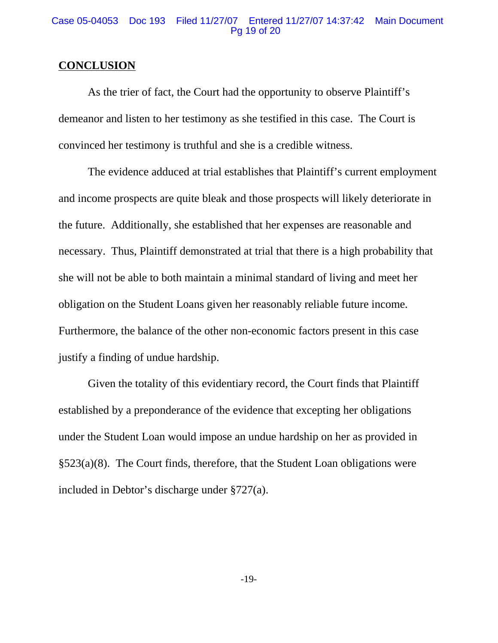## Case 05-04053 Doc 193 Filed 11/27/07 Entered 11/27/07 14:37:42 Main Document Pg 19 of 20

## **CONCLUSION**

As the trier of fact, the Court had the opportunity to observe Plaintiff's demeanor and listen to her testimony as she testified in this case. The Court is convinced her testimony is truthful and she is a credible witness.

The evidence adduced at trial establishes that Plaintiff's current employment and income prospects are quite bleak and those prospects will likely deteriorate in the future. Additionally, she established that her expenses are reasonable and necessary. Thus, Plaintiff demonstrated at trial that there is a high probability that she will not be able to both maintain a minimal standard of living and meet her obligation on the Student Loans given her reasonably reliable future income. Furthermore, the balance of the other non-economic factors present in this case justify a finding of undue hardship.

Given the totality of this evidentiary record, the Court finds that Plaintiff established by a preponderance of the evidence that excepting her obligations under the Student Loan would impose an undue hardship on her as provided in §523(a)(8). The Court finds, therefore, that the Student Loan obligations were included in Debtor's discharge under §727(a).